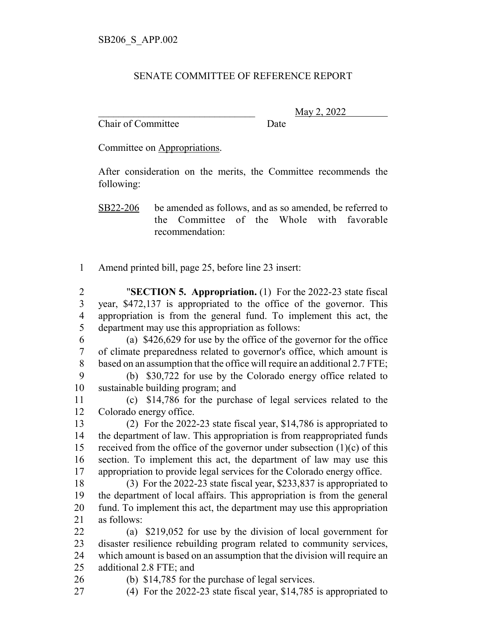## SENATE COMMITTEE OF REFERENCE REPORT

Chair of Committee Date

\_\_\_\_\_\_\_\_\_\_\_\_\_\_\_\_\_\_\_\_\_\_\_\_\_\_\_\_\_\_\_ May 2, 2022

Committee on Appropriations.

After consideration on the merits, the Committee recommends the following:

SB22-206 be amended as follows, and as so amended, be referred to the Committee of the Whole with favorable recommendation:

Amend printed bill, page 25, before line 23 insert:

 "**SECTION 5. Appropriation.** (1) For the 2022-23 state fiscal year, \$472,137 is appropriated to the office of the governor. This appropriation is from the general fund. To implement this act, the department may use this appropriation as follows:

 (a) \$426,629 for use by the office of the governor for the office of climate preparedness related to governor's office, which amount is based on an assumption that the office will require an additional 2.7 FTE;

 (b) \$30,722 for use by the Colorado energy office related to sustainable building program; and

 (c) \$14,786 for the purchase of legal services related to the Colorado energy office.

 (2) For the 2022-23 state fiscal year, \$14,786 is appropriated to the department of law. This appropriation is from reappropriated funds 15 received from the office of the governor under subsection  $(1)(c)$  of this section. To implement this act, the department of law may use this appropriation to provide legal services for the Colorado energy office.

 (3) For the 2022-23 state fiscal year, \$233,837 is appropriated to the department of local affairs. This appropriation is from the general fund. To implement this act, the department may use this appropriation as follows:

 (a) \$219,052 for use by the division of local government for disaster resilience rebuilding program related to community services, which amount is based on an assumption that the division will require an additional 2.8 FTE; and

(b) \$14,785 for the purchase of legal services.

(4) For the 2022-23 state fiscal year, \$14,785 is appropriated to